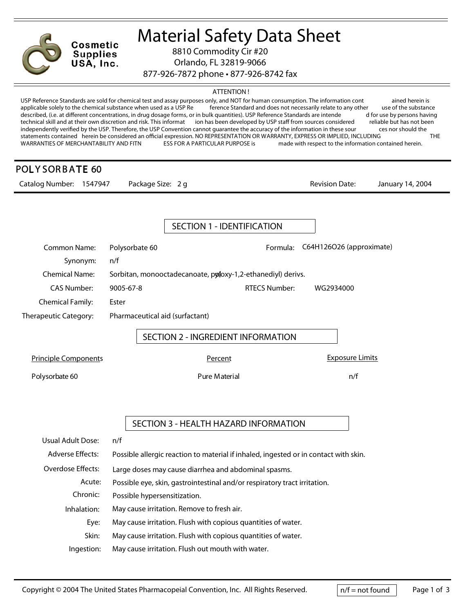

**Material Safety Data Sheet**

8810 Commodity Cir #20

Orlando, FL 32819-9066

877-926-7872 phone • 877-926-8742 fax

## **ATTENTION !**

USP Reference Standards are sold for chemical test and assay purposes only, and NOT for human consumption. The information cont ained herein is applicable solely to the chemical substance when used as a USP Re ference Standard and does not necessarily relate to any other use of the substance described, (i.e. at different concentrations, in drug dosage forms, or in bulk quantities). USP Reference Standards are intende d for use by persons having technical skill and at their own discretion and risk. This informat ion has been developed by USP staff from sources considered reliable but has not been independently verified by the USP. Therefore, the USP Convention can independently verified by the USP. Therefore, the USP Convention cannot guarantee the accuracy of the information in these sour statements contained herein be considered an official expression. NO REPRESENTATION OR WARRANTY, EXPRESS OR IMPLIED, INCLUDING THE<br>WARRANTIES OF MERCHANTABILITY AND FITN ESS FOR A PARTICULAR PURPOSE is made with respect to ESS FOR A PARTICULAR PURPOSE is made with respect to the information contained herein.

## $\cdots$

| POLYSORBATE 60              |                                                                           |                                                                                      |                                   |                  |  |
|-----------------------------|---------------------------------------------------------------------------|--------------------------------------------------------------------------------------|-----------------------------------|------------------|--|
| Catalog Number: 1547947     | Package Size: 2 g                                                         |                                                                                      | <b>Revision Date:</b>             | January 14, 2004 |  |
|                             |                                                                           |                                                                                      |                                   |                  |  |
|                             |                                                                           | <b>SECTION 1 - IDENTIFICATION</b>                                                    |                                   |                  |  |
| <b>Common Name:</b>         | Polysorbate 60                                                            |                                                                                      | Formula: C64H126O26 (approximate) |                  |  |
| Synonym:                    | n/f                                                                       |                                                                                      |                                   |                  |  |
| <b>Chemical Name:</b>       | Sorbitan, monooctadecanoate, poloxy-1,2-ethanediyl) derivs.               |                                                                                      |                                   |                  |  |
| <b>CAS Number:</b>          | 9005-67-8                                                                 | <b>RTECS Number:</b>                                                                 | WG2934000                         |                  |  |
| <b>Chemical Family:</b>     | Ester                                                                     |                                                                                      |                                   |                  |  |
| Therapeutic Category:       | Pharmaceutical aid (surfactant)                                           |                                                                                      |                                   |                  |  |
|                             |                                                                           | SECTION 2 - INGREDIENT INFORMATION                                                   |                                   |                  |  |
| <b>Principle Components</b> |                                                                           | Percent                                                                              | <b>Exposure Limits</b>            |                  |  |
| Polysorbate 60              |                                                                           | Pure Material                                                                        | n/f                               |                  |  |
|                             |                                                                           | SECTION 3 - HEALTH HAZARD INFORMATION                                                |                                   |                  |  |
| <b>Usual Adult Dose:</b>    | n/f                                                                       |                                                                                      |                                   |                  |  |
| <b>Adverse Effects:</b>     |                                                                           | Possible allergic reaction to material if inhaled, ingested or in contact with skin. |                                   |                  |  |
| Overdose Effects:           | Large doses may cause diarrhea and abdominal spasms.                      |                                                                                      |                                   |                  |  |
| Acute:                      | Possible eye, skin, gastrointestinal and/or respiratory tract irritation. |                                                                                      |                                   |                  |  |
| Chronic:                    | Possible hypersensitization.                                              |                                                                                      |                                   |                  |  |
| Inhalation:                 |                                                                           | May cause irritation. Remove to fresh air.                                           |                                   |                  |  |

- **Eye:** May cause irritation. Flush with copious quantities of water.
- **Skin:** May cause irritation. Flush with copious quantities of water.
- **Ingestion:** May cause irritation. Flush out mouth with water.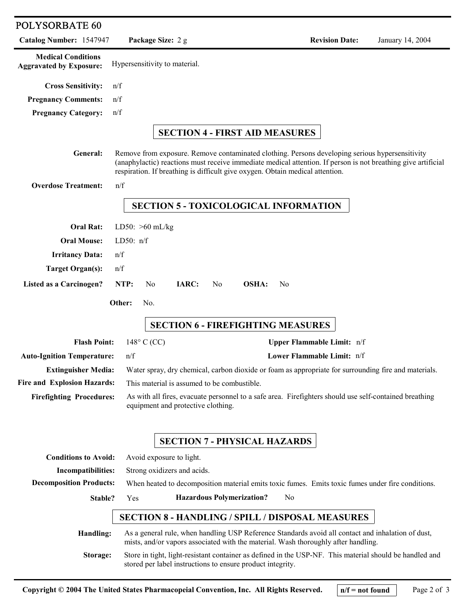| POLYSORBATE 60                                              |                                                                                                                                                                                                                                                                                                   |                            |                  |  |  |  |
|-------------------------------------------------------------|---------------------------------------------------------------------------------------------------------------------------------------------------------------------------------------------------------------------------------------------------------------------------------------------------|----------------------------|------------------|--|--|--|
| Catalog Number: 1547947                                     | Package Size: 2 g                                                                                                                                                                                                                                                                                 | <b>Revision Date:</b>      | January 14, 2004 |  |  |  |
| <b>Medical Conditions</b><br><b>Aggravated by Exposure:</b> | Hypersensitivity to material.                                                                                                                                                                                                                                                                     |                            |                  |  |  |  |
| <b>Cross Sensitivity:</b>                                   | n/f                                                                                                                                                                                                                                                                                               |                            |                  |  |  |  |
| <b>Pregnancy Comments:</b>                                  | n/f                                                                                                                                                                                                                                                                                               |                            |                  |  |  |  |
| <b>Pregnancy Category:</b>                                  | n/f                                                                                                                                                                                                                                                                                               |                            |                  |  |  |  |
|                                                             | <b>SECTION 4 - FIRST AID MEASURES</b>                                                                                                                                                                                                                                                             |                            |                  |  |  |  |
| <b>General:</b>                                             | Remove from exposure. Remove contaminated clothing. Persons developing serious hypersensitivity<br>(anaphylactic) reactions must receive immediate medical attention. If person is not breathing give artificial<br>respiration. If breathing is difficult give oxygen. Obtain medical attention. |                            |                  |  |  |  |
| <b>Overdose Treatment:</b>                                  | n/f                                                                                                                                                                                                                                                                                               |                            |                  |  |  |  |
|                                                             | <b>SECTION 5 - TOXICOLOGICAL INFORMATION</b>                                                                                                                                                                                                                                                      |                            |                  |  |  |  |
| <b>Oral Rat:</b>                                            | LD50: $>60$ mL/kg                                                                                                                                                                                                                                                                                 |                            |                  |  |  |  |
| <b>Oral Mouse:</b>                                          | LD50: $n/f$                                                                                                                                                                                                                                                                                       |                            |                  |  |  |  |
| <b>Irritancy Data:</b>                                      | n/f                                                                                                                                                                                                                                                                                               |                            |                  |  |  |  |
| <b>Target Organ(s):</b>                                     | n/f                                                                                                                                                                                                                                                                                               |                            |                  |  |  |  |
| Listed as a Carcinogen?                                     | NTP:<br>IARC:<br><b>OSHA:</b><br>No.<br>N <sub>0</sub><br>N <sub>0</sub>                                                                                                                                                                                                                          |                            |                  |  |  |  |
|                                                             | Other:<br>No.                                                                                                                                                                                                                                                                                     |                            |                  |  |  |  |
|                                                             | <b>SECTION 6 - FIREFIGHTING MEASURES</b>                                                                                                                                                                                                                                                          |                            |                  |  |  |  |
| <b>Flash Point:</b>                                         | $148^\circ$ C (CC)                                                                                                                                                                                                                                                                                | Upper Flammable Limit: n/f |                  |  |  |  |
| <b>Auto-Ignition Temperature:</b>                           | n/f                                                                                                                                                                                                                                                                                               | Lower Flammable Limit: n/f |                  |  |  |  |
| <b>Extinguisher Media:</b>                                  | Water spray, dry chemical, carbon dioxide or foam as appropriate for surrounding fire and materials.                                                                                                                                                                                              |                            |                  |  |  |  |
| Fire and Explosion Hazards:                                 | This material is assumed to be combustible.                                                                                                                                                                                                                                                       |                            |                  |  |  |  |
| <b>Firefighting Procedures:</b>                             | As with all fires, evacuate personnel to a safe area. Firefighters should use self-contained breathing<br>equipment and protective clothing.                                                                                                                                                      |                            |                  |  |  |  |
|                                                             | <b>SECTION 7 - PHYSICAL HAZARDS</b>                                                                                                                                                                                                                                                               |                            |                  |  |  |  |
| <b>Conditions to Avoid:</b>                                 | Avoid exposure to light.                                                                                                                                                                                                                                                                          |                            |                  |  |  |  |
| <b>Incompatibilities:</b>                                   | Strong oxidizers and acids.                                                                                                                                                                                                                                                                       |                            |                  |  |  |  |
| <b>Decomposition Products:</b>                              | When heated to decomposition material emits toxic fumes. Emits toxic fumes under fire conditions.                                                                                                                                                                                                 |                            |                  |  |  |  |
| Stable?                                                     | <b>Hazardous Polymerization?</b><br>Yes                                                                                                                                                                                                                                                           | No                         |                  |  |  |  |
| <b>SECTION 8 - HANDLING / SPILL / DISPOSAL MEASURES</b>     |                                                                                                                                                                                                                                                                                                   |                            |                  |  |  |  |
| Handling:                                                   | As a general rule, when handling USP Reference Standards avoid all contact and inhalation of dust,<br>mists, and/or vapors associated with the material. Wash thoroughly after handling.                                                                                                          |                            |                  |  |  |  |
| Storage:                                                    | Store in tight, light-resistant container as defined in the USP-NF. This material should be handled and<br>stored per label instructions to ensure product integrity.                                                                                                                             |                            |                  |  |  |  |